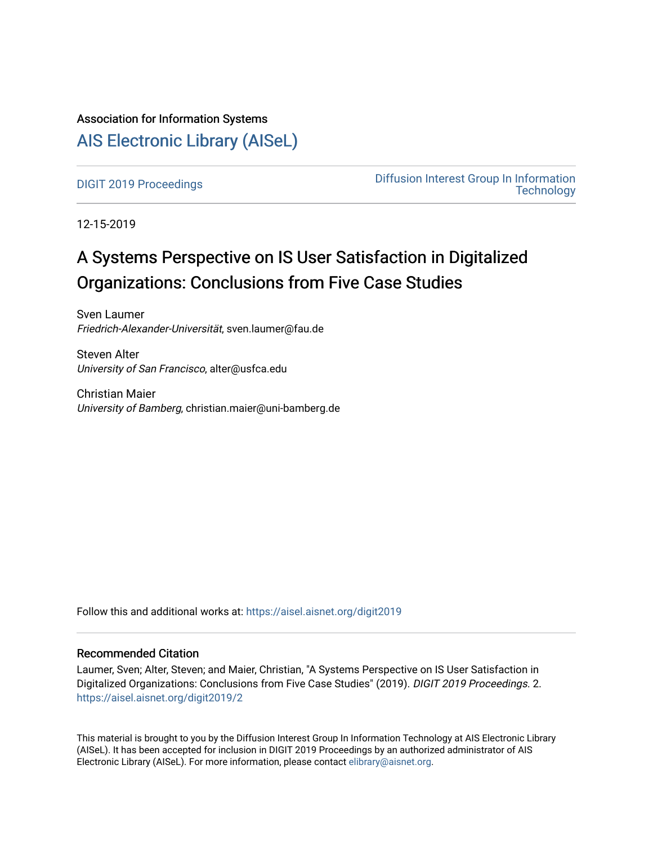## Association for Information Systems

## [AIS Electronic Library \(AISeL\)](https://aisel.aisnet.org/)

[DIGIT 2019 Proceedings](https://aisel.aisnet.org/digit2019) [Diffusion Interest Group In Information](https://aisel.aisnet.org/digit)  **Technology** 

12-15-2019

## A Systems Perspective on IS User Satisfaction in Digitalized Organizations: Conclusions from Five Case Studies

Sven Laumer Friedrich-Alexander-Universität, sven.laumer@fau.de

Steven Alter University of San Francisco, alter@usfca.edu

Christian Maier University of Bamberg, christian.maier@uni-bamberg.de

Follow this and additional works at: [https://aisel.aisnet.org/digit2019](https://aisel.aisnet.org/digit2019?utm_source=aisel.aisnet.org%2Fdigit2019%2F2&utm_medium=PDF&utm_campaign=PDFCoverPages) 

#### Recommended Citation

Laumer, Sven; Alter, Steven; and Maier, Christian, "A Systems Perspective on IS User Satisfaction in Digitalized Organizations: Conclusions from Five Case Studies" (2019). DIGIT 2019 Proceedings. 2. [https://aisel.aisnet.org/digit2019/2](https://aisel.aisnet.org/digit2019/2?utm_source=aisel.aisnet.org%2Fdigit2019%2F2&utm_medium=PDF&utm_campaign=PDFCoverPages) 

This material is brought to you by the Diffusion Interest Group In Information Technology at AIS Electronic Library (AISeL). It has been accepted for inclusion in DIGIT 2019 Proceedings by an authorized administrator of AIS Electronic Library (AISeL). For more information, please contact [elibrary@aisnet.org.](mailto:elibrary@aisnet.org%3E)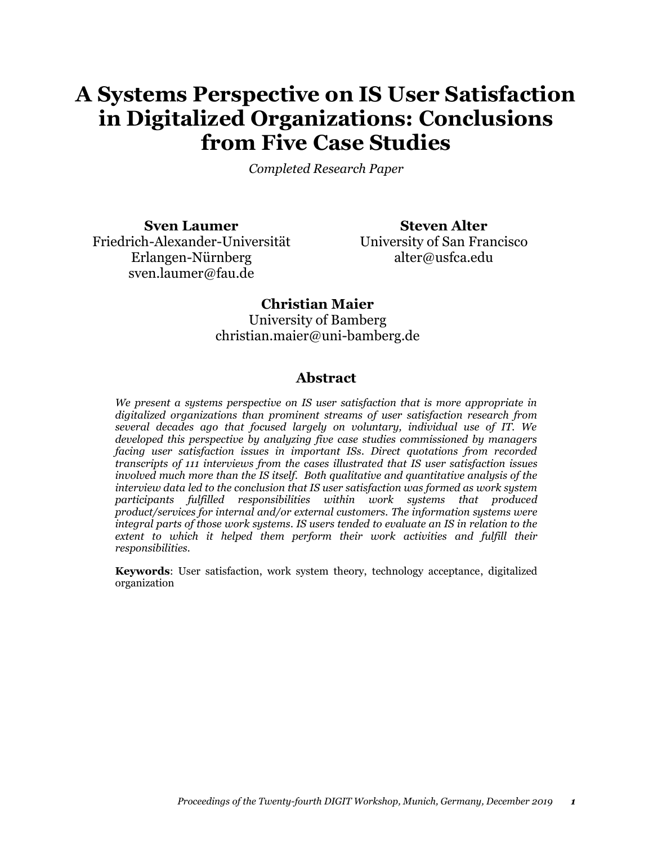## **A Systems Perspective on IS User Satisfaction in Digitalized Organizations: Conclusions from Five Case Studies**

*Completed Research Paper*

**Sven Laumer** Friedrich-Alexander-Universität Erlangen-Nürnberg sven.laumer@fau.de

**Steven Alter** University of San Francisco alter@usfca.edu

### **Christian Maier**

University of Bamberg christian.maier@uni-bamberg.de

#### **Abstract**

*We present a systems perspective on IS user satisfaction that is more appropriate in digitalized organizations than prominent streams of user satisfaction research from several decades ago that focused largely on voluntary, individual use of IT. We developed this perspective by analyzing five case studies commissioned by managers facing user satisfaction issues in important ISs. Direct quotations from recorded transcripts of 111 interviews from the cases illustrated that IS user satisfaction issues involved much more than the IS itself. Both qualitative and quantitative analysis of the interview data led to the conclusion that IS user satisfaction was formed as work system participants fulfilled responsibilities within work systems that produced product/services for internal and/or external customers. The information systems were integral parts of those work systems. IS users tended to evaluate an IS in relation to the extent to which it helped them perform their work activities and fulfill their responsibilities.* 

**Keywords**: User satisfaction, work system theory, technology acceptance, digitalized organization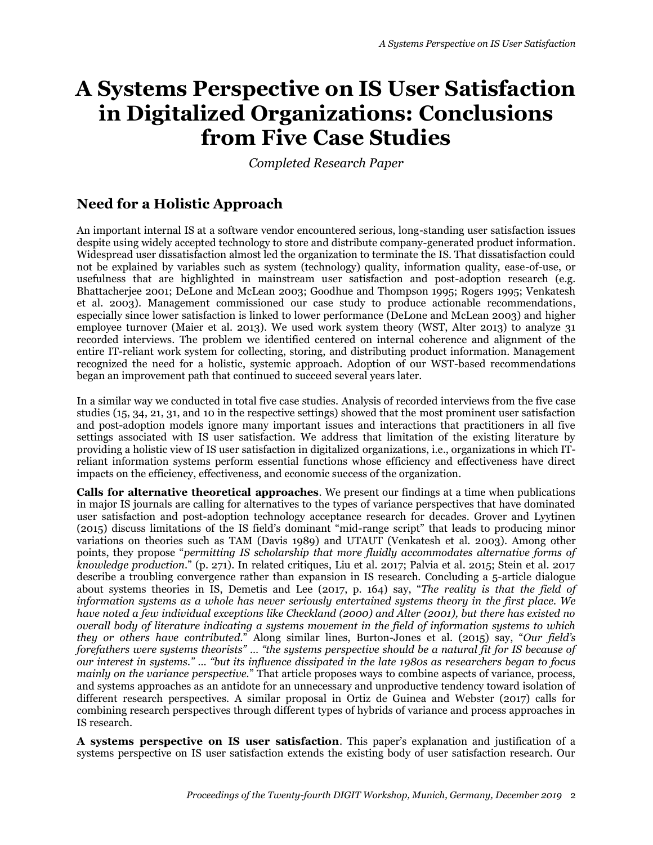# **A Systems Perspective on IS User Satisfaction in Digitalized Organizations: Conclusions from Five Case Studies**

*Completed Research Paper*

## **Need for a Holistic Approach**

An important internal IS at a software vendor encountered serious, long-standing user satisfaction issues despite using widely accepted technology to store and distribute company-generated product information. Widespread user dissatisfaction almost led the organization to terminate the IS. That dissatisfaction could not be explained by variables such as system (technology) quality, information quality, ease-of-use, or usefulness that are highlighted in mainstream user satisfaction and post-adoption research (e.g. Bhattacherjee 2001; DeLone and McLean 2003; Goodhue and Thompson 1995; Rogers 1995; Venkatesh et al. 2003). Management commissioned our case study to produce actionable recommendations, especially since lower satisfaction is linked to lower performance (DeLone and McLean 2003) and higher employee turnover (Maier et al. 2013). We used work system theory (WST, Alter 2013) to analyze 31 recorded interviews. The problem we identified centered on internal coherence and alignment of the entire IT-reliant work system for collecting, storing, and distributing product information. Management recognized the need for a holistic, systemic approach. Adoption of our WST-based recommendations began an improvement path that continued to succeed several years later.

In a similar way we conducted in total five case studies. Analysis of recorded interviews from the five case studies (15, 34, 21, 31, and 10 in the respective settings) showed that the most prominent user satisfaction and post-adoption models ignore many important issues and interactions that practitioners in all five settings associated with IS user satisfaction. We address that limitation of the existing literature by providing a holistic view of IS user satisfaction in digitalized organizations, i.e., organizations in which ITreliant information systems perform essential functions whose efficiency and effectiveness have direct impacts on the efficiency, effectiveness, and economic success of the organization.

**Calls for alternative theoretical approaches**. We present our findings at a time when publications in major IS journals are calling for alternatives to the types of variance perspectives that have dominated user satisfaction and post-adoption technology acceptance research for decades. Grover and Lyytinen (2015) discuss limitations of the IS field's dominant "mid-range script" that leads to producing minor variations on theories such as TAM (Davis 1989) and UTAUT (Venkatesh et al. 2003). Among other points, they propose "*permitting IS scholarship that more fluidly accommodates alternative forms of knowledge production*." (p. 271). In related critiques, Liu et al. 2017; Palvia et al. 2015; Stein et al. 2017 describe a troubling convergence rather than expansion in IS research. Concluding a 5-article dialogue about systems theories in IS, Demetis and Lee (2017, p. 164) say, "*The reality is that the field of information systems as a whole has never seriously entertained systems theory in the first place. We have noted a few individual exceptions like Checkland (2000) and Alter (2001), but there has existed no overall body of literature indicating a systems movement in the field of information systems to which they or others have contributed.*" Along similar lines, Burton-Jones et al. (2015) say, "*Our field's forefathers were systems theorists" … "the systems perspective should be a natural fit for IS because of our interest in systems." … "but its influence dissipated in the late 1980s as researchers began to focus mainly on the variance perspective.*" That article proposes ways to combine aspects of variance, process, and systems approaches as an antidote for an unnecessary and unproductive tendency toward isolation of different research perspectives. A similar proposal in Ortiz de Guinea and Webster (2017) calls for combining research perspectives through different types of hybrids of variance and process approaches in IS research.

**A systems perspective on IS user satisfaction**. This paper's explanation and justification of a systems perspective on IS user satisfaction extends the existing body of user satisfaction research. Our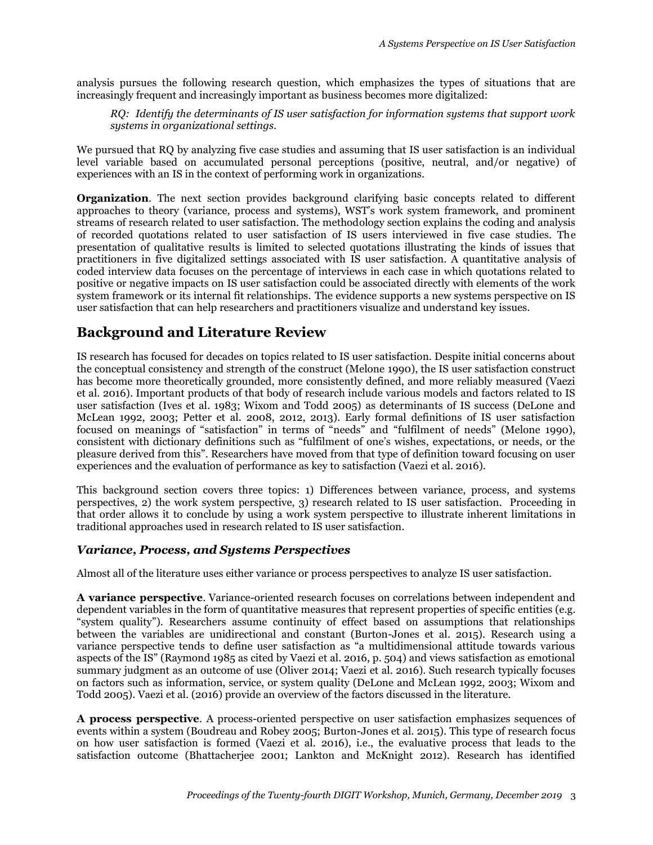analysis pursues the following research question, which emphasizes the types of situations that are increasingly frequent and increasingly important as business becomes more digitalized:

*RQ: Identify the determinants of IS user satisfaction for information systems that support work systems in organizational settings.*

We pursued that RQ by analyzing five case studies and assuming that IS user satisfaction is an individual level variable based on accumulated personal perceptions (positive, neutral, and/or negative) of experiences with an IS in the context of performing work in organizations.

**Organization**. The next section provides background clarifying basic concepts related to different approaches to theory (variance, process and systems), WST's work system framework, and prominent streams of research related to user satisfaction. The methodology section explains the coding and analysis of recorded quotations related to user satisfaction of IS users interviewed in five case studies. The presentation of qualitative results is limited to selected quotations illustrating the kinds of issues that practitioners in five digitalized settings associated with IS user satisfaction. A quantitative analysis of coded interview data focuses on the percentage of interviews in each case in which quotations related to positive or negative impacts on IS user satisfaction could be associated directly with elements of the work system framework or its internal fit relationships. The evidence supports a new systems perspective on IS user satisfaction that can help researchers and practitioners visualize and understand key issues.

## **Background and Literature Review**

IS research has focused for decades on topics related to IS user satisfaction. Despite initial concerns about the conceptual consistency and strength of the construct (Melone 1990), the IS user satisfaction construct has become more theoretically grounded, more consistently defined, and more reliably measured (Vaezi et al. 2016). Important products of that body of research include various models and factors related to IS user satisfaction (Ives et al. 1983; Wixom and Todd 2005) as determinants of IS success (DeLone and McLean 1992, 2003; Petter et al. 2008, 2012, 2013). Early formal definitions of IS user satisfaction focused on meanings of "satisfaction" in terms of "needs" and "fulfilment of needs" (Melone 1990), consistent with dictionary definitions such as "fulfilment of one's wishes, expectations, or needs, or the pleasure derived from this". Researchers have moved from that type of definition toward focusing on user experiences and the evaluation of performance as key to satisfaction (Vaezi et al. 2016).

This background section covers three topics: 1) Differences between variance, process, and systems perspectives, 2) the work system perspective, 3) research related to IS user satisfaction. Proceeding in that order allows it to conclude by using a work system perspective to illustrate inherent limitations in traditional approaches used in research related to IS user satisfaction.

#### *Variance, Process, and Systems Perspectives*

Almost all of the literature uses either variance or process perspectives to analyze IS user satisfaction.

**A variance perspective**. Variance-oriented research focuses on correlations between independent and dependent variables in the form of quantitative measures that represent properties of specific entities (e.g. "system quality"). Researchers assume continuity of effect based on assumptions that relationships between the variables are unidirectional and constant (Burton-Jones et al. 2015). Research using a variance perspective tends to define user satisfaction as "a multidimensional attitude towards various aspects of the IS" (Raymond 1985 as cited by Vaezi et al. 2016, p. 504) and views satisfaction as emotional summary judgment as an outcome of use (Oliver 2014; Vaezi et al. 2016). Such research typically focuses on factors such as information, service, or system quality (DeLone and McLean 1992, 2003; Wixom and Todd 2005). Vaezi et al. (2016) provide an overview of the factors discussed in the literature.

**A process perspective**. A process-oriented perspective on user satisfaction emphasizes sequences of events within a system (Boudreau and Robey 2005; Burton-Jones et al. 2015). This type of research focus on how user satisfaction is formed (Vaezi et al. 2016), i.e., the evaluative process that leads to the satisfaction outcome (Bhattacherjee 2001; Lankton and McKnight 2012). Research has identified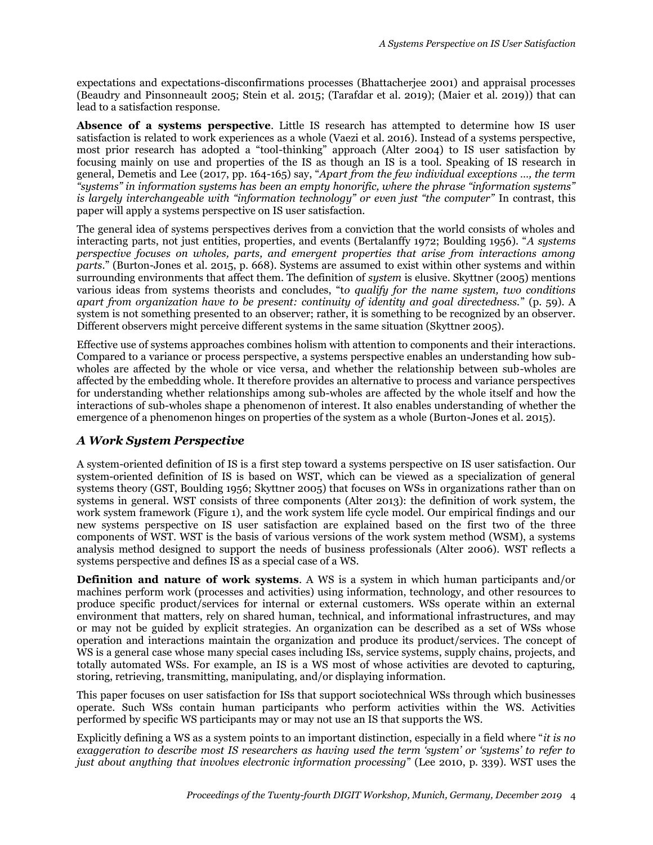expectations and expectations-disconfirmations processes (Bhattacherjee 2001) and appraisal processes (Beaudry and Pinsonneault 2005; Stein et al. 2015; (Tarafdar et al. 2019); (Maier et al. 2019)) that can lead to a satisfaction response.

**Absence of a systems perspective**. Little IS research has attempted to determine how IS user satisfaction is related to work experiences as a whole (Vaezi et al. 2016). Instead of a systems perspective, most prior research has adopted a "tool-thinking" approach (Alter 2004) to IS user satisfaction by focusing mainly on use and properties of the IS as though an IS is a tool. Speaking of IS research in general, Demetis and Lee (2017, pp. 164-165) say, "*Apart from the few individual exceptions …, the term "systems" in information systems has been an empty honorific, where the phrase "information systems"*  is largely interchangeable with "information technology" or even just "the computer" In contrast, this paper will apply a systems perspective on IS user satisfaction.

The general idea of systems perspectives derives from a conviction that the world consists of wholes and interacting parts, not just entities, properties, and events (Bertalanffy 1972; Boulding 1956). "*A systems perspective focuses on wholes, parts, and emergent properties that arise from interactions among parts*." (Burton-Jones et al. 2015, p. 668). Systems are assumed to exist within other systems and within surrounding environments that affect them. The definition of *system* is elusive. Skyttner (2005) mentions various ideas from systems theorists and concludes, "t*o qualify for the name system, two conditions apart from organization have to be present: continuity of identity and goal directedness.*" (p. 59). A system is not something presented to an observer; rather, it is something to be recognized by an observer. Different observers might perceive different systems in the same situation (Skyttner 2005).

Effective use of systems approaches combines holism with attention to components and their interactions. Compared to a variance or process perspective, a systems perspective enables an understanding how subwholes are affected by the whole or vice versa, and whether the relationship between sub-wholes are affected by the embedding whole. It therefore provides an alternative to process and variance perspectives for understanding whether relationships among sub-wholes are affected by the whole itself and how the interactions of sub-wholes shape a phenomenon of interest. It also enables understanding of whether the emergence of a phenomenon hinges on properties of the system as a whole (Burton-Jones et al. 2015).

#### *A Work System Perspective*

A system-oriented definition of IS is a first step toward a systems perspective on IS user satisfaction. Our system-oriented definition of IS is based on WST, which can be viewed as a specialization of general systems theory (GST, Boulding 1956; Skyttner 2005) that focuses on WSs in organizations rather than on systems in general. WST consists of three components (Alter 2013): the definition of work system, the work system framework (Figure 1), and the work system life cycle model. Our empirical findings and our new systems perspective on IS user satisfaction are explained based on the first two of the three components of WST. WST is the basis of various versions of the work system method (WSM), a systems analysis method designed to support the needs of business professionals (Alter 2006). WST reflects a systems perspective and defines IS as a special case of a WS.

**Definition and nature of work systems**. A WS is a system in which human participants and/or machines perform work (processes and activities) using information, technology, and other resources to produce specific product/services for internal or external customers. WSs operate within an external environment that matters, rely on shared human, technical, and informational infrastructures, and may or may not be guided by explicit strategies. An organization can be described as a set of WSs whose operation and interactions maintain the organization and produce its product/services. The concept of WS is a general case whose many special cases including ISs, service systems, supply chains, projects, and totally automated WSs. For example, an IS is a WS most of whose activities are devoted to capturing, storing, retrieving, transmitting, manipulating, and/or displaying information.

This paper focuses on user satisfaction for ISs that support sociotechnical WSs through which businesses operate. Such WSs contain human participants who perform activities within the WS. Activities performed by specific WS participants may or may not use an IS that supports the WS.

Explicitly defining a WS as a system points to an important distinction, especially in a field where "*it is no exaggeration to describe most IS researchers as having used the term 'system' or 'systems' to refer to just about anything that involves electronic information processing*" (Lee 2010, p. 339). WST uses the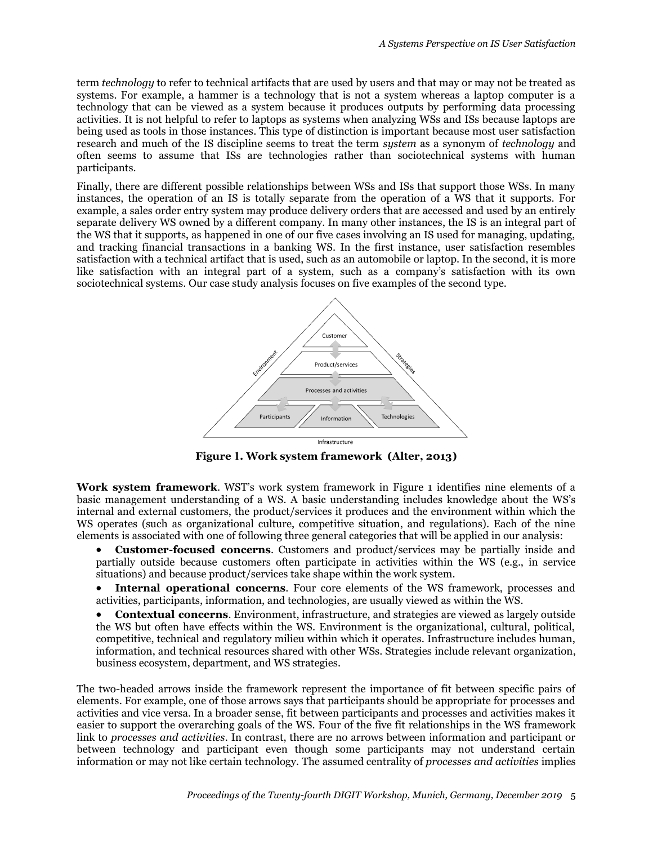term *technology* to refer to technical artifacts that are used by users and that may or may not be treated as systems. For example, a hammer is a technology that is not a system whereas a laptop computer is a technology that can be viewed as a system because it produces outputs by performing data processing activities. It is not helpful to refer to laptops as systems when analyzing WSs and ISs because laptops are being used as tools in those instances. This type of distinction is important because most user satisfaction research and much of the IS discipline seems to treat the term *system* as a synonym of *technology* and often seems to assume that ISs are technologies rather than sociotechnical systems with human participants.

Finally, there are different possible relationships between WSs and ISs that support those WSs. In many instances, the operation of an IS is totally separate from the operation of a WS that it supports. For example, a sales order entry system may produce delivery orders that are accessed and used by an entirely separate delivery WS owned by a different company. In many other instances, the IS is an integral part of the WS that it supports, as happened in one of our five cases involving an IS used for managing, updating, and tracking financial transactions in a banking WS. In the first instance, user satisfaction resembles satisfaction with a technical artifact that is used, such as an automobile or laptop. In the second, it is more like satisfaction with an integral part of a system, such as a company's satisfaction with its own sociotechnical systems. Our case study analysis focuses on five examples of the second type.



**Figure 1. Work system framework (Alter, 2013)**

**Work system framework**. WST's work system framework in Figure 1 identifies nine elements of a basic management understanding of a WS. A basic understanding includes knowledge about the WS's internal and external customers, the product/services it produces and the environment within which the WS operates (such as organizational culture, competitive situation, and regulations). Each of the nine elements is associated with one of following three general categories that will be applied in our analysis:

• **Customer-focused concerns**. Customers and product/services may be partially inside and partially outside because customers often participate in activities within the WS (e.g., in service situations) and because product/services take shape within the work system.

**Internal operational concerns.** Four core elements of the WS framework, processes and activities, participants, information, and technologies, are usually viewed as within the WS.

• **Contextual concerns**. Environment, infrastructure, and strategies are viewed as largely outside the WS but often have effects within the WS. Environment is the organizational, cultural, political, competitive, technical and regulatory milieu within which it operates. Infrastructure includes human, information, and technical resources shared with other WSs. Strategies include relevant organization, business ecosystem, department, and WS strategies.

The two-headed arrows inside the framework represent the importance of fit between specific pairs of elements. For example, one of those arrows says that participants should be appropriate for processes and activities and vice versa. In a broader sense, fit between participants and processes and activities makes it easier to support the overarching goals of the WS. Four of the five fit relationships in the WS framework link to *processes and activities*. In contrast, there are no arrows between information and participant or between technology and participant even though some participants may not understand certain information or may not like certain technology. The assumed centrality of *processes and activities* implies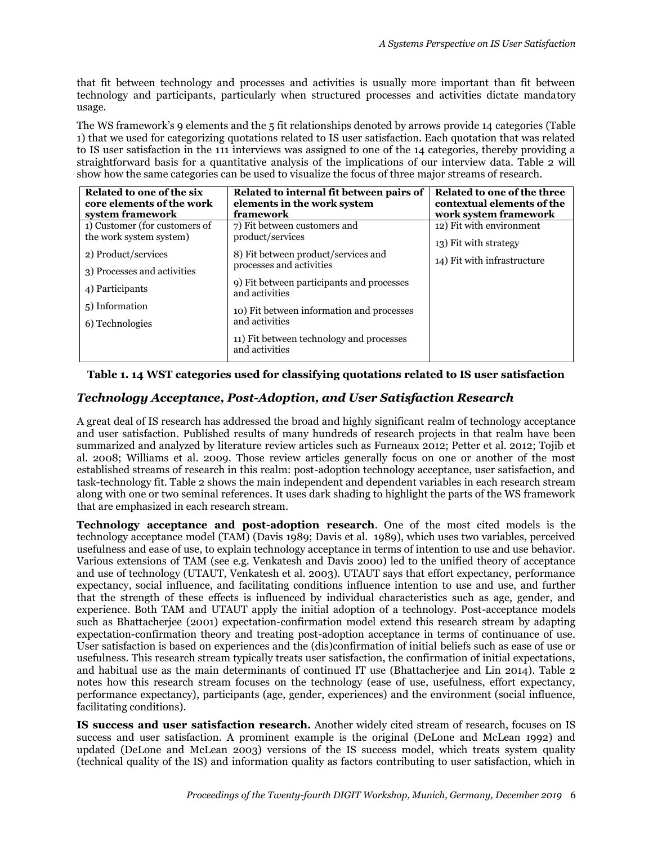that fit between technology and processes and activities is usually more important than fit between technology and participants, particularly when structured processes and activities dictate mandatory usage.

The WS framework's 9 elements and the 5 fit relationships denoted by arrows provide 14 categories (Table 1) that we used for categorizing quotations related to IS user satisfaction. Each quotation that was related to IS user satisfaction in the 111 interviews was assigned to one of the 14 categories, thereby providing a straightforward basis for a quantitative analysis of the implications of our interview data. Table 2 will show how the same categories can be used to visualize the focus of three major streams of research.

| Related to one of the six<br>core elements of the work<br>system framework                                     | Related to internal fit between pairs of<br>elements in the work system<br>framework                                | Related to one of the three<br>contextual elements of the<br>work system framework |
|----------------------------------------------------------------------------------------------------------------|---------------------------------------------------------------------------------------------------------------------|------------------------------------------------------------------------------------|
| 1) Customer (for customers of<br>the work system system)<br>2) Product/services<br>3) Processes and activities | 7) Fit between customers and<br>product/services<br>8) Fit between product/services and<br>processes and activities | 12) Fit with environment<br>13) Fit with strategy<br>14) Fit with infrastructure   |
| 4) Participants                                                                                                | 9) Fit between participants and processes<br>and activities                                                         |                                                                                    |
| 5) Information<br>6) Technologies                                                                              | 10) Fit between information and processes<br>and activities                                                         |                                                                                    |
|                                                                                                                | 11) Fit between technology and processes<br>and activities                                                          |                                                                                    |

#### **Table 1. 14 WST categories used for classifying quotations related to IS user satisfaction**

#### *Technology Acceptance, Post-Adoption, and User Satisfaction Research*

A great deal of IS research has addressed the broad and highly significant realm of technology acceptance and user satisfaction. Published results of many hundreds of research projects in that realm have been summarized and analyzed by literature review articles such as Furneaux 2012; Petter et al. 2012; Tojib et al. 2008; Williams et al. 2009. Those review articles generally focus on one or another of the most established streams of research in this realm: post-adoption technology acceptance, user satisfaction, and task-technology fit. Table 2 shows the main independent and dependent variables in each research stream along with one or two seminal references. It uses dark shading to highlight the parts of the WS framework that are emphasized in each research stream.

**Technology acceptance and post-adoption research**. One of the most cited models is the technology acceptance model (TAM) (Davis 1989; Davis et al. 1989), which uses two variables, perceived usefulness and ease of use, to explain technology acceptance in terms of intention to use and use behavior. Various extensions of TAM (see e.g. Venkatesh and Davis 2000) led to the unified theory of acceptance and use of technology (UTAUT, Venkatesh et al. 2003). UTAUT says that effort expectancy, performance expectancy, social influence, and facilitating conditions influence intention to use and use, and further that the strength of these effects is influenced by individual characteristics such as age, gender, and experience. Both TAM and UTAUT apply the initial adoption of a technology. Post-acceptance models such as Bhattacherjee (2001) expectation-confirmation model extend this research stream by adapting expectation-confirmation theory and treating post-adoption acceptance in terms of continuance of use. User satisfaction is based on experiences and the (dis)confirmation of initial beliefs such as ease of use or usefulness. This research stream typically treats user satisfaction, the confirmation of initial expectations, and habitual use as the main determinants of continued IT use (Bhattacherjee and Lin 2014). Table 2 notes how this research stream focuses on the technology (ease of use, usefulness, effort expectancy, performance expectancy), participants (age, gender, experiences) and the environment (social influence, facilitating conditions).

**IS success and user satisfaction research.** Another widely cited stream of research, focuses on IS success and user satisfaction. A prominent example is the original (DeLone and McLean 1992) and updated (DeLone and McLean 2003) versions of the IS success model, which treats system quality (technical quality of the IS) and information quality as factors contributing to user satisfaction, which in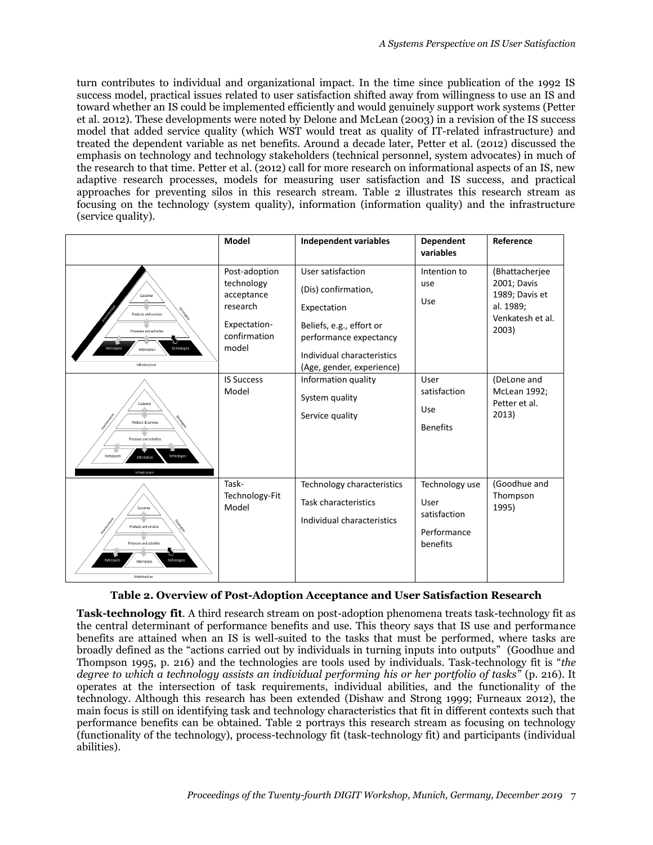turn contributes to individual and organizational impact. In the time since publication of the 1992 IS success model, practical issues related to user satisfaction shifted away from willingness to use an IS and toward whether an IS could be implemented efficiently and would genuinely support work systems (Petter et al. 2012). These developments were noted by Delone and McLean (2003) in a revision of the IS success model that added service quality (which WST would treat as quality of IT-related infrastructure) and treated the dependent variable as net benefits. Around a decade later, Petter et al. (2012) discussed the emphasis on technology and technology stakeholders (technical personnel, system advocates) in much of the research to that time. Petter et al. (2012) call for more research on informational aspects of an IS, new adaptive research processes, models for measuring user satisfaction and IS success, and practical approaches for preventing silos in this research stream. Table 2 illustrates this research stream as focusing on the technology (system quality), information (information quality) and the infrastructure (service quality).

|                                                                                                                                              | <b>Model</b>                                                                                                        | <b>Independent variables</b>                                                                                                                                                                                                          | Dependent<br>variables                                            | Reference                                                                                                |
|----------------------------------------------------------------------------------------------------------------------------------------------|---------------------------------------------------------------------------------------------------------------------|---------------------------------------------------------------------------------------------------------------------------------------------------------------------------------------------------------------------------------------|-------------------------------------------------------------------|----------------------------------------------------------------------------------------------------------|
| Customer<br>Products and services<br>Processes and activities<br><b>Participants</b><br><b>Technologies</b><br>Information<br>Infrastructure | Post-adoption<br>technology<br>acceptance<br>research<br>Expectation-<br>confirmation<br>model<br><b>IS Success</b> | User satisfaction<br>Intention to<br>use<br>(Dis) confirmation,<br>Use<br>Expectation<br>Beliefs, e.g., effort or<br>performance expectancy<br>Individual characteristics<br>(Age, gender, experience)<br>Information quality<br>User |                                                                   | (Bhattacherjee<br>2001; Davis<br>1989; Davis et<br>al. 1989;<br>Venkatesh et al.<br>2003)<br>(DeLone and |
| Customer<br>Products & services<br>Processes and activities<br>Participants<br>Information<br>Infrastructure                                 | Model                                                                                                               | System quality<br>Service quality                                                                                                                                                                                                     | satisfaction<br>Use<br><b>Benefits</b>                            | McLean 1992;<br>Petter et al.<br>2013)                                                                   |
| Customer<br>Products and services<br>Processes and activities<br><b>Technologies</b><br>Participants<br>Information<br>Infrastructure        | Task-<br>Technology-Fit<br>Model                                                                                    | Technology characteristics<br><b>Task characteristics</b><br>Individual characteristics                                                                                                                                               | Technology use<br>User<br>satisfaction<br>Performance<br>benefits | (Goodhue and<br>Thompson<br>1995)                                                                        |

**Table 2. Overview of Post-Adoption Acceptance and User Satisfaction Research**

**Task-technology fit**. A third research stream on post-adoption phenomena treats task-technology fit as the central determinant of performance benefits and use. This theory says that IS use and performance benefits are attained when an IS is well-suited to the tasks that must be performed, where tasks are broadly defined as the "actions carried out by individuals in turning inputs into outputs" (Goodhue and Thompson 1995, p. 216) and the technologies are tools used by individuals. Task-technology fit is "*the degree to which a technology assists an individual performing his or her portfolio of tasks*" (p. 216). It operates at the intersection of task requirements, individual abilities, and the functionality of the technology. Although this research has been extended (Dishaw and Strong 1999; Furneaux 2012), the main focus is still on identifying task and technology characteristics that fit in different contexts such that performance benefits can be obtained. Table 2 portrays this research stream as focusing on technology (functionality of the technology), process-technology fit (task-technology fit) and participants (individual abilities).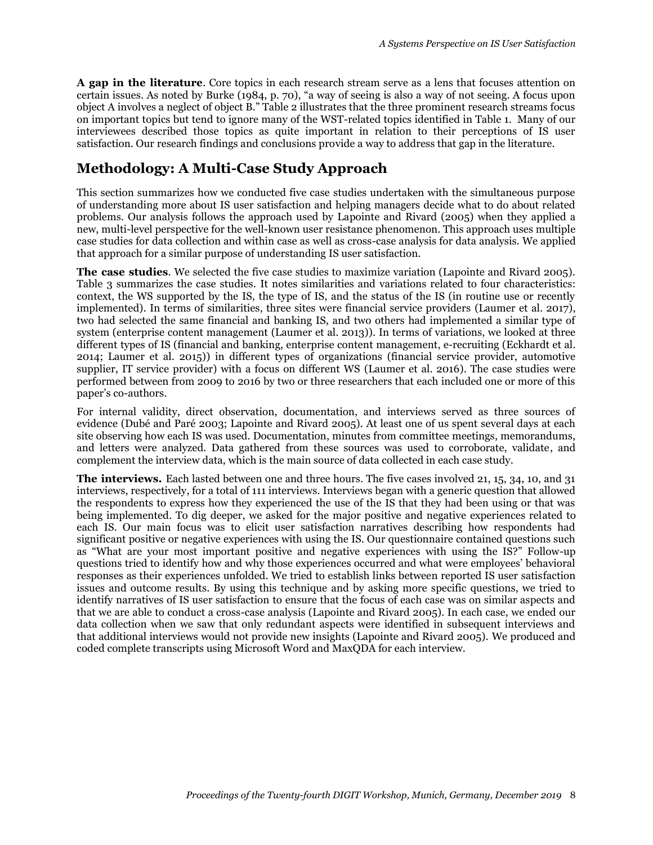**A gap in the literature**. Core topics in each research stream serve as a lens that focuses attention on certain issues. As noted by Burke (1984, p. 70), "a way of seeing is also a way of not seeing. A focus upon object A involves a neglect of object B." Table 2 illustrates that the three prominent research streams focus on important topics but tend to ignore many of the WST-related topics identified in Table 1. Many of our interviewees described those topics as quite important in relation to their perceptions of IS user satisfaction. Our research findings and conclusions provide a way to address that gap in the literature.

### **Methodology: A Multi-Case Study Approach**

This section summarizes how we conducted five case studies undertaken with the simultaneous purpose of understanding more about IS user satisfaction and helping managers decide what to do about related problems. Our analysis follows the approach used by Lapointe and Rivard (2005) when they applied a new, multi-level perspective for the well-known user resistance phenomenon. This approach uses multiple case studies for data collection and within case as well as cross-case analysis for data analysis. We applied that approach for a similar purpose of understanding IS user satisfaction.

**The case studies**. We selected the five case studies to maximize variation (Lapointe and Rivard 2005). Table 3 summarizes the case studies. It notes similarities and variations related to four characteristics: context, the WS supported by the IS, the type of IS, and the status of the IS (in routine use or recently implemented). In terms of similarities, three sites were financial service providers (Laumer et al. 2017), two had selected the same financial and banking IS, and two others had implemented a similar type of system (enterprise content management (Laumer et al. 2013)). In terms of variations, we looked at three different types of IS (financial and banking, enterprise content management, e-recruiting (Eckhardt et al. 2014; Laumer et al. 2015)) in different types of organizations (financial service provider, automotive supplier, IT service provider) with a focus on different WS (Laumer et al. 2016). The case studies were performed between from 2009 to 2016 by two or three researchers that each included one or more of this paper's co-authors.

For internal validity, direct observation, documentation, and interviews served as three sources of evidence (Dubé and Paré 2003; Lapointe and Rivard 2005). At least one of us spent several days at each site observing how each IS was used. Documentation, minutes from committee meetings, memorandums, and letters were analyzed. Data gathered from these sources was used to corroborate, validate, and complement the interview data, which is the main source of data collected in each case study.

**The interviews.** Each lasted between one and three hours. The five cases involved 21, 15, 34, 10, and 31 interviews, respectively, for a total of 111 interviews. Interviews began with a generic question that allowed the respondents to express how they experienced the use of the IS that they had been using or that was being implemented. To dig deeper, we asked for the major positive and negative experiences related to each IS. Our main focus was to elicit user satisfaction narratives describing how respondents had significant positive or negative experiences with using the IS. Our questionnaire contained questions such as "What are your most important positive and negative experiences with using the IS?" Follow-up questions tried to identify how and why those experiences occurred and what were employees' behavioral responses as their experiences unfolded. We tried to establish links between reported IS user satisfaction issues and outcome results. By using this technique and by asking more specific questions, we tried to identify narratives of IS user satisfaction to ensure that the focus of each case was on similar aspects and that we are able to conduct a cross-case analysis (Lapointe and Rivard 2005). In each case, we ended our data collection when we saw that only redundant aspects were identified in subsequent interviews and that additional interviews would not provide new insights (Lapointe and Rivard 2005). We produced and coded complete transcripts using Microsoft Word and MaxQDA for each interview.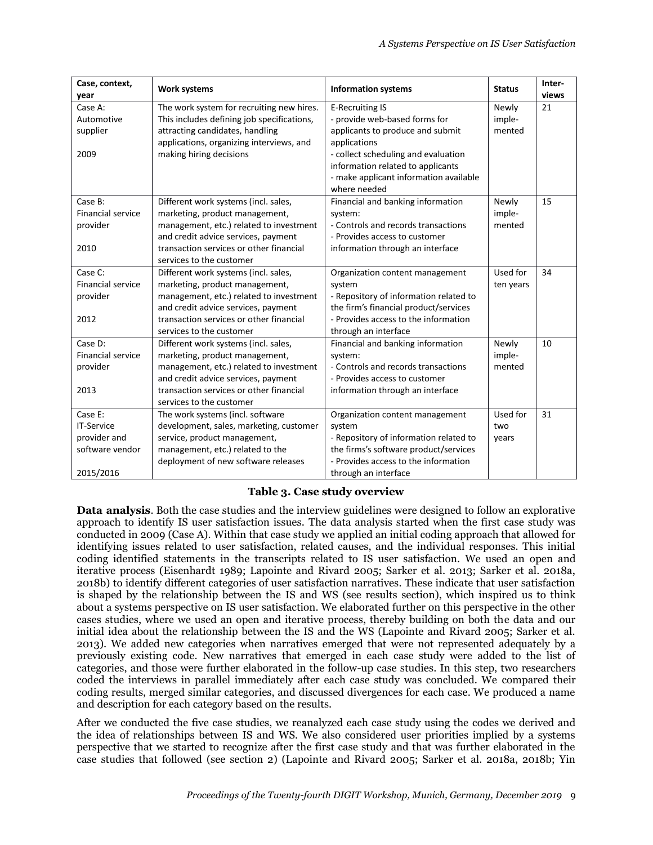| Case, context,<br>year   | <b>Work systems</b>                        | <b>Information systems</b>             | <b>Status</b> | Inter-<br>views |
|--------------------------|--------------------------------------------|----------------------------------------|---------------|-----------------|
| Case A:                  | The work system for recruiting new hires.  | E-Recruiting IS                        | Newly         | 21              |
| Automotive               | This includes defining job specifications, | - provide web-based forms for          | imple-        |                 |
| supplier                 | attracting candidates, handling            | applicants to produce and submit       | mented        |                 |
|                          | applications, organizing interviews, and   | applications                           |               |                 |
| 2009                     | making hiring decisions                    | - collect scheduling and evaluation    |               |                 |
|                          |                                            | information related to applicants      |               |                 |
|                          |                                            | - make applicant information available |               |                 |
|                          |                                            | where needed                           |               |                 |
| Case B:                  | Different work systems (incl. sales,       | Financial and banking information      | Newly         | 15              |
| <b>Financial service</b> | marketing, product management,             | system:                                | imple-        |                 |
| provider                 | management, etc.) related to investment    | - Controls and records transactions    | mented        |                 |
|                          | and credit advice services, payment        | - Provides access to customer          |               |                 |
| 2010                     | transaction services or other financial    | information through an interface       |               |                 |
|                          | services to the customer                   |                                        |               |                 |
| Case C:                  | Different work systems (incl. sales,       | Organization content management        | Used for      | 34              |
| <b>Financial service</b> | marketing, product management,             | system                                 | ten years     |                 |
| provider                 | management, etc.) related to investment    | - Repository of information related to |               |                 |
|                          | and credit advice services, payment        | the firm's financial product/services  |               |                 |
| 2012                     | transaction services or other financial    | - Provides access to the information   |               |                 |
|                          | services to the customer                   | through an interface                   |               |                 |
| Case D:                  | Different work systems (incl. sales,       | Financial and banking information      | Newly         | 10              |
| <b>Financial service</b> | marketing, product management,             | system:                                | imple-        |                 |
| provider                 | management, etc.) related to investment    | - Controls and records transactions    | mented        |                 |
|                          | and credit advice services, payment        | - Provides access to customer          |               |                 |
| 2013                     | transaction services or other financial    | information through an interface       |               |                 |
|                          | services to the customer                   |                                        |               |                 |
| Case E:                  | The work systems (incl. software           | Organization content management        | Used for      | 31              |
| IT-Service               | development, sales, marketing, customer    | system                                 | two           |                 |
| provider and             | service, product management,               | - Repository of information related to | years         |                 |
| software vendor          | management, etc.) related to the           | the firms's software product/services  |               |                 |
|                          | deployment of new software releases        | - Provides access to the information   |               |                 |
| 2015/2016                |                                            | through an interface                   |               |                 |

#### **Table 3. Case study overview**

**Data analysis**. Both the case studies and the interview guidelines were designed to follow an explorative approach to identify IS user satisfaction issues. The data analysis started when the first case study was conducted in 2009 (Case A). Within that case study we applied an initial coding approach that allowed for identifying issues related to user satisfaction, related causes, and the individual responses. This initial coding identified statements in the transcripts related to IS user satisfaction. We used an open and iterative process (Eisenhardt 1989; Lapointe and Rivard 2005; Sarker et al. 2013; Sarker et al. 2018a, 2018b) to identify different categories of user satisfaction narratives. These indicate that user satisfaction is shaped by the relationship between the IS and WS (see results section), which inspired us to think about a systems perspective on IS user satisfaction. We elaborated further on this perspective in the other cases studies, where we used an open and iterative process, thereby building on both the data and our initial idea about the relationship between the IS and the WS (Lapointe and Rivard 2005; Sarker et al. 2013). We added new categories when narratives emerged that were not represented adequately by a previously existing code. New narratives that emerged in each case study were added to the list of categories, and those were further elaborated in the follow-up case studies. In this step, two researchers coded the interviews in parallel immediately after each case study was concluded. We compared their coding results, merged similar categories, and discussed divergences for each case. We produced a name and description for each category based on the results.

After we conducted the five case studies, we reanalyzed each case study using the codes we derived and the idea of relationships between IS and WS. We also considered user priorities implied by a systems perspective that we started to recognize after the first case study and that was further elaborated in the case studies that followed (see section 2) (Lapointe and Rivard 2005; Sarker et al. 2018a, 2018b; Yin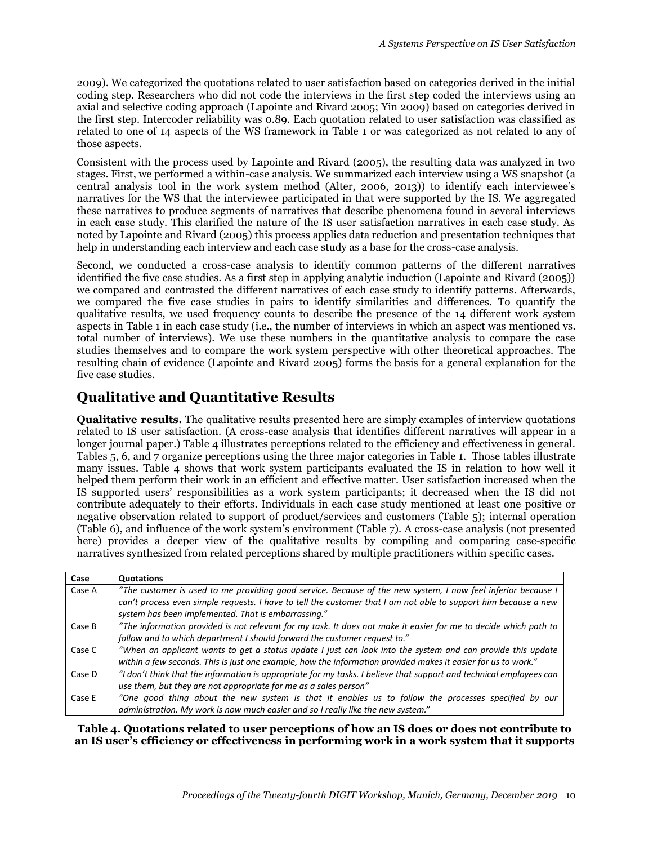2009). We categorized the quotations related to user satisfaction based on categories derived in the initial coding step. Researchers who did not code the interviews in the first step coded the interviews using an axial and selective coding approach (Lapointe and Rivard 2005; Yin 2009) based on categories derived in the first step. Intercoder reliability was 0.89. Each quotation related to user satisfaction was classified as related to one of 14 aspects of the WS framework in Table 1 or was categorized as not related to any of those aspects.

Consistent with the process used by Lapointe and Rivard (2005), the resulting data was analyzed in two stages. First, we performed a within-case analysis. We summarized each interview using a WS snapshot (a central analysis tool in the work system method (Alter, 2006, 2013)) to identify each interviewee's narratives for the WS that the interviewee participated in that were supported by the IS. We aggregated these narratives to produce segments of narratives that describe phenomena found in several interviews in each case study. This clarified the nature of the IS user satisfaction narratives in each case study. As noted by Lapointe and Rivard (2005) this process applies data reduction and presentation techniques that help in understanding each interview and each case study as a base for the cross-case analysis.

Second, we conducted a cross-case analysis to identify common patterns of the different narratives identified the five case studies. As a first step in applying analytic induction (Lapointe and Rivard (2005)) we compared and contrasted the different narratives of each case study to identify patterns. Afterwards, we compared the five case studies in pairs to identify similarities and differences. To quantify the qualitative results, we used frequency counts to describe the presence of the 14 different work system aspects in Table 1 in each case study (i.e., the number of interviews in which an aspect was mentioned vs. total number of interviews). We use these numbers in the quantitative analysis to compare the case studies themselves and to compare the work system perspective with other theoretical approaches. The resulting chain of evidence (Lapointe and Rivard 2005) forms the basis for a general explanation for the five case studies.

## **Qualitative and Quantitative Results**

**Qualitative results.** The qualitative results presented here are simply examples of interview quotations related to IS user satisfaction. (A cross-case analysis that identifies different narratives will appear in a longer journal paper.) Table 4 illustrates perceptions related to the efficiency and effectiveness in general. Tables 5, 6, and 7 organize perceptions using the three major categories in Table 1. Those tables illustrate many issues. Table 4 shows that work system participants evaluated the IS in relation to how well it helped them perform their work in an efficient and effective matter. User satisfaction increased when the IS supported users' responsibilities as a work system participants; it decreased when the IS did not contribute adequately to their efforts. Individuals in each case study mentioned at least one positive or negative observation related to support of product/services and customers (Table 5); internal operation (Table 6), and influence of the work system's environment (Table 7). A cross-case analysis (not presented here) provides a deeper view of the qualitative results by compiling and comparing case-specific narratives synthesized from related perceptions shared by multiple practitioners within specific cases.

| Case   | <b>Quotations</b>                                                                                                                                                                                                                                                                      |
|--------|----------------------------------------------------------------------------------------------------------------------------------------------------------------------------------------------------------------------------------------------------------------------------------------|
| Case A | "The customer is used to me providing good service. Because of the new system, I now feel inferior because I<br>can't process even simple requests. I have to tell the customer that I am not able to support him because a new<br>system has been implemented. That is embarrassing." |
| Case B | "The information provided is not relevant for my task. It does not make it easier for me to decide which path to<br>follow and to which department I should forward the customer request to."                                                                                          |
| Case C | "When an applicant wants to get a status update I just can look into the system and can provide this update<br>within a few seconds. This is just one example, how the information provided makes it easier for us to work."                                                           |
| Case D | "I don't think that the information is appropriate for my tasks. I believe that support and technical employees can<br>use them, but they are not appropriate for me as a sales person"                                                                                                |
| Case E | "One good thing about the new system is that it enables us to follow the processes specified by our<br>administration. My work is now much easier and so I really like the new system."                                                                                                |

**Table 4. Quotations related to user perceptions of how an IS does or does not contribute to an IS user's efficiency or effectiveness in performing work in a work system that it supports**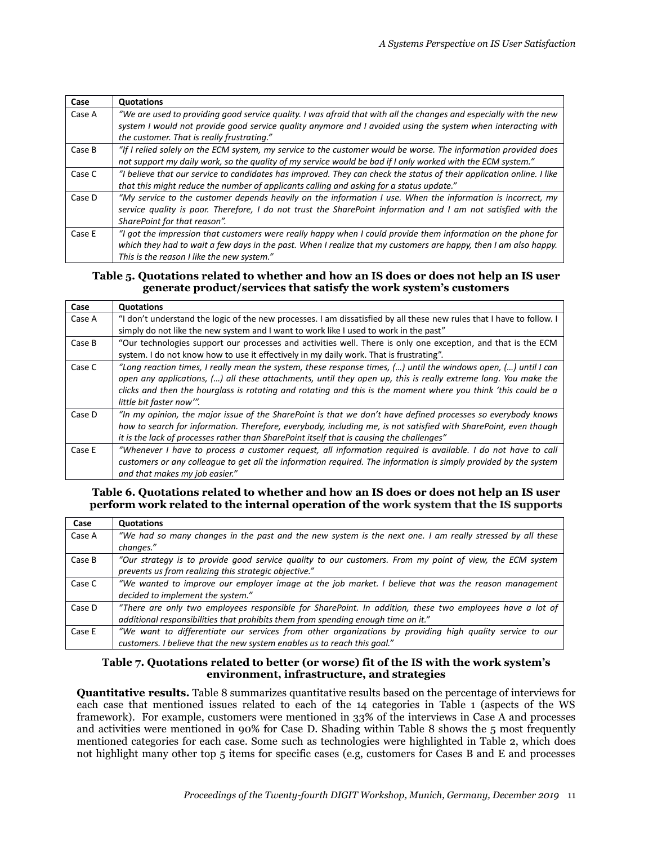| Case   | <b>Quotations</b>                                                                                                     |
|--------|-----------------------------------------------------------------------------------------------------------------------|
| Case A | "We are used to providing good service quality. I was afraid that with all the changes and especially with the new    |
|        | system I would not provide good service quality anymore and I avoided using the system when interacting with          |
|        | the customer. That is really frustrating."                                                                            |
| Case B | "If I relied solely on the ECM system, my service to the customer would be worse. The information provided does       |
|        | not support my daily work, so the quality of my service would be bad if I only worked with the ECM system."           |
| Case C | "I believe that our service to candidates has improved. They can check the status of their application online. I like |
|        | that this might reduce the number of applicants calling and asking for a status update."                              |
| Case D | "My service to the customer depends heavily on the information I use. When the information is incorrect, my           |
|        | service quality is poor. Therefore, I do not trust the SharePoint information and I am not satisfied with the         |
|        | SharePoint for that reason".                                                                                          |
| Case E | "I got the impression that customers were really happy when I could provide them information on the phone for         |
|        | which they had to wait a few days in the past. When I realize that my customers are happy, then I am also happy.      |
|        | This is the reason I like the new system."                                                                            |

#### **Table 5. Quotations related to whether and how an IS does or does not help an IS user generate product/services that satisfy the work system's customers**

| Case   | <b>Quotations</b>                                                                                                     |
|--------|-----------------------------------------------------------------------------------------------------------------------|
| Case A | "I don't understand the logic of the new processes. I am dissatisfied by all these new rules that I have to follow. I |
|        | simply do not like the new system and I want to work like I used to work in the past"                                 |
| Case B | "Our technologies support our processes and activities well. There is only one exception, and that is the ECM         |
|        | system. I do not know how to use it effectively in my daily work. That is frustrating".                               |
| Case C | "Long reaction times, I really mean the system, these response times, $()$ until the windows open, $()$ until I can   |
|        | open any applications, () all these attachments, until they open up, this is really extreme long. You make the        |
|        | clicks and then the hourglass is rotating and rotating and this is the moment where you think 'this could be a        |
|        | little bit faster now".                                                                                               |
| Case D | "In my opinion, the major issue of the SharePoint is that we don't have defined processes so everybody knows          |
|        | how to search for information. Therefore, everybody, including me, is not satisfied with SharePoint, even though      |
|        | it is the lack of processes rather than SharePoint itself that is causing the challenges"                             |
| Case E | "Whenever I have to process a customer request, all information required is available. I do not have to call          |
|        | customers or any colleague to get all the information required. The information is simply provided by the system      |
|        | and that makes my job easier."                                                                                        |

#### **Table 6. Quotations related to whether and how an IS does or does not help an IS user perform work related to the internal operation of the work system that the IS supports**

| Case   | <b>Quotations</b>                                                                                                                                                                             |
|--------|-----------------------------------------------------------------------------------------------------------------------------------------------------------------------------------------------|
| Case A | "We had so many changes in the past and the new system is the next one. I am really stressed by all these<br>changes."                                                                        |
| Case B | "Our strategy is to provide good service quality to our customers. From my point of view, the ECM system<br>prevents us from realizing this strategic objective."                             |
| Case C | "We wanted to improve our employer image at the job market. I believe that was the reason management<br>decided to implement the system."                                                     |
| Case D | "There are only two employees responsible for SharePoint. In addition, these two employees have a lot of<br>additional responsibilities that prohibits them from spending enough time on it." |
| Case E | "We want to differentiate our services from other organizations by providing high quality service to our<br>customers. I believe that the new system enables us to reach this goal."          |

#### **Table 7. Quotations related to better (or worse) fit of the IS with the work system's environment, infrastructure, and strategies**

**Quantitative results.** Table 8 summarizes quantitative results based on the percentage of interviews for each case that mentioned issues related to each of the 14 categories in Table 1 (aspects of the WS framework). For example, customers were mentioned in 33% of the interviews in Case A and processes and activities were mentioned in 90% for Case D. Shading within Table 8 shows the 5 most frequently mentioned categories for each case. Some such as technologies were highlighted in Table 2, which does not highlight many other top 5 items for specific cases (e.g, customers for Cases B and E and processes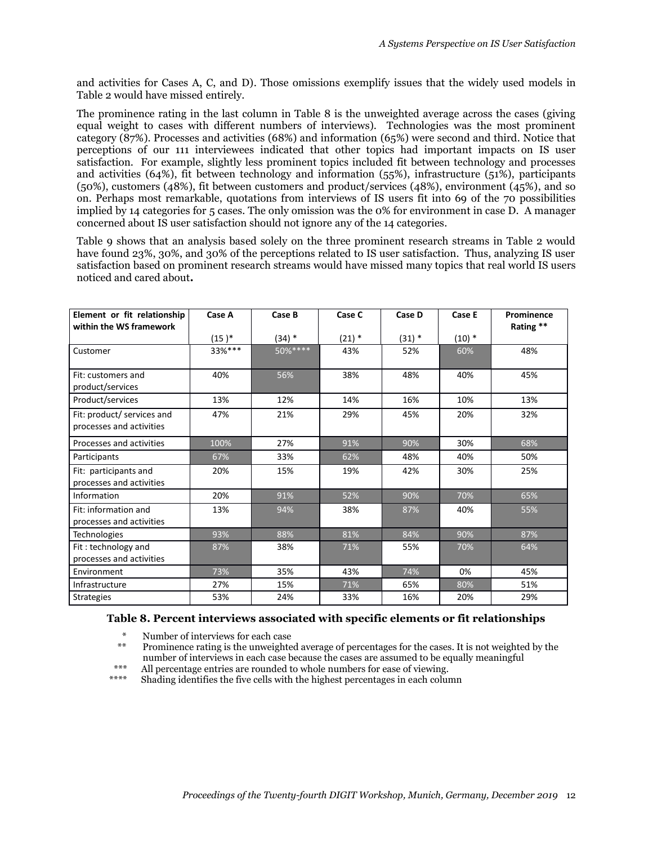and activities for Cases A, C, and D). Those omissions exemplify issues that the widely used models in Table 2 would have missed entirely.

The prominence rating in the last column in Table 8 is the unweighted average across the cases (giving equal weight to cases with different numbers of interviews). Technologies was the most prominent category (87%). Processes and activities (68%) and information (65%) were second and third. Notice that perceptions of our 111 interviewees indicated that other topics had important impacts on IS user satisfaction. For example, slightly less prominent topics included fit between technology and processes and activities (64%), fit between technology and information (55%), infrastructure (51%), participants (50%), customers (48%), fit between customers and product/services (48%), environment (45%), and so on. Perhaps most remarkable, quotations from interviews of IS users fit into 69 of the 70 possibilities implied by 14 categories for 5 cases. The only omission was the 0% for environment in case D. A manager concerned about IS user satisfaction should not ignore any of the 14 categories.

Table 9 shows that an analysis based solely on the three prominent research streams in Table 2 would have found 23%, 30%, and 30% of the perceptions related to IS user satisfaction. Thus, analyzing IS user satisfaction based on prominent research streams would have missed many topics that real world IS users noticed and cared about**.**

| Element or fit relationship                            | Case A   | Case B   | Case C   | Case D   | Case E  | Prominence |
|--------------------------------------------------------|----------|----------|----------|----------|---------|------------|
| within the WS framework                                |          |          |          |          |         | Rating **  |
|                                                        | $(15)^*$ | $(34) *$ | $(21)$ * | $(31) *$ | $(10)*$ |            |
| Customer                                               | 33%***   | 50%****  | 43%      | 52%      | 60%     | 48%        |
| Fit: customers and<br>product/services                 | 40%      | 56%      | 38%      | 48%      | 40%     | 45%        |
| Product/services                                       | 13%      | 12%      | 14%      | 16%      | 10%     | 13%        |
| Fit: product/ services and<br>processes and activities | 47%      | 21%      | 29%      | 45%      | 20%     | 32%        |
| Processes and activities                               | 100%     | 27%      | 91%      | 90%      | 30%     | 68%        |
| Participants                                           | 67%      | 33%      | 62%      | 48%      | 40%     | 50%        |
| Fit: participants and<br>processes and activities      | 20%      | 15%      | 19%      | 42%      | 30%     | 25%        |
| Information                                            | 20%      | 91%      | 52%      | 90%      | 70%     | 65%        |
| Fit: information and<br>processes and activities       | 13%      | 94%      | 38%      | 87%      | 40%     | 55%        |
| <b>Technologies</b>                                    | 93%      | 88%      | 81%      | 84%      | 90%     | 87%        |
| Fit: technology and<br>processes and activities        | 87%      | 38%      | 71%      | 55%      | 70%     | 64%        |
| Environment                                            | 73%      | 35%      | 43%      | 74%      | 0%      | 45%        |
| Infrastructure                                         | 27%      | 15%      | 71%      | 65%      | 80%     | 51%        |
| <b>Strategies</b>                                      | 53%      | 24%      | 33%      | 16%      | 20%     | 29%        |

#### **Table 8. Percent interviews associated with specific elements or fit relationships**

\* Number of interviews for each case

- Prominence rating is the unweighted average of percentages for the cases. It is not weighted by the number of interviews in each case because the cases are assumed to be equally meaningful<br>\*\*\*
- \*\*\* All percentage entries are rounded to whole numbers for ease of viewing.
- Shading identifies the five cells with the highest percentages in each column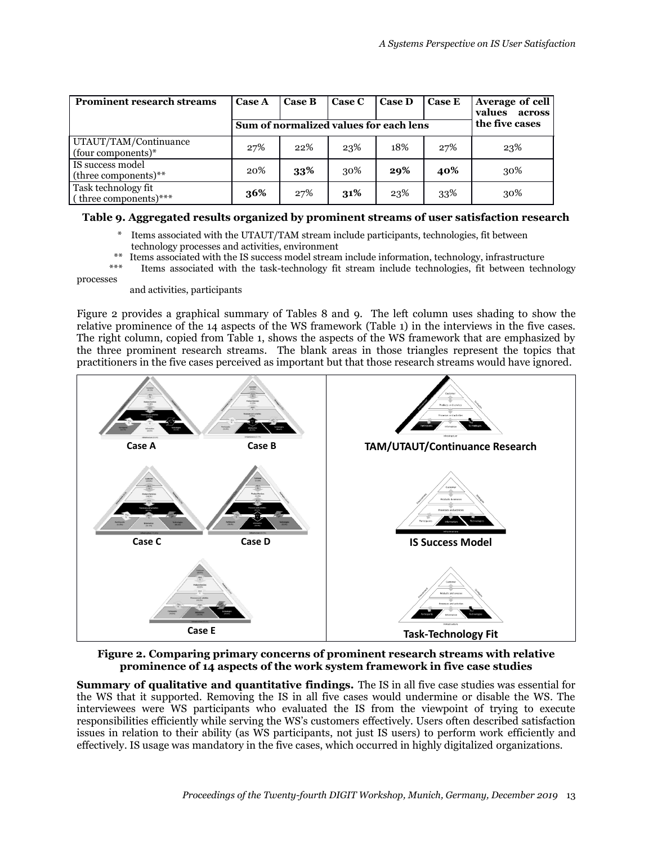| <b>Prominent research streams</b>               | <b>Case A</b>                          | <b>Case B</b> | <b>Case C</b> | <b>Case D</b> | <b>Case E</b> | Average of cell<br>values<br>across |  |
|-------------------------------------------------|----------------------------------------|---------------|---------------|---------------|---------------|-------------------------------------|--|
|                                                 | Sum of normalized values for each lens |               |               |               |               | the five cases                      |  |
| UTAUT/TAM/Continuance<br>(four components) $*$  | 27%                                    | 22%           | 23%           | 18%           | 27%           | 23%                                 |  |
| IS success model<br>(three components)**        | 20%                                    | 33%           | 30%           | 29%           | 40%           | 30%                                 |  |
| Task technology fit<br>$($ three components)*** | 36%                                    | 27%           | 31%           | 23%           | 33%           | 30%                                 |  |

#### **Table 9. Aggregated results organized by prominent streams of user satisfaction research**

- Items associated with the UTAUT/TAM stream include participants, technologies, fit between technology processes and activities, environment<br>\*\* Items associated with the IS suggests model stream
- \*\* Items associated with the IS success model stream include information, technology, infrastructure<br>\*\*\* Items associated with the teak technology fit stream include technology, infrastructure
- Items associated with the task-technology fit stream include technologies, fit between technology processes

and activities, participants

Figure 2 provides a graphical summary of Tables 8 and 9. The left column uses shading to show the relative prominence of the 14 aspects of the WS framework (Table 1) in the interviews in the five cases. The right column, copied from Table 1, shows the aspects of the WS framework that are emphasized by the three prominent research streams. The blank areas in those triangles represent the topics that practitioners in the five cases perceived as important but that those research streams would have ignored.



**Figure 2. Comparing primary concerns of prominent research streams with relative prominence of 14 aspects of the work system framework in five case studies**

**Summary of qualitative and quantitative findings.** The IS in all five case studies was essential for the WS that it supported. Removing the IS in all five cases would undermine or disable the WS. The interviewees were WS participants who evaluated the IS from the viewpoint of trying to execute responsibilities efficiently while serving the WS's customers effectively. Users often described satisfaction issues in relation to their ability (as WS participants, not just IS users) to perform work efficiently and effectively. IS usage was mandatory in the five cases, which occurred in highly digitalized organizations.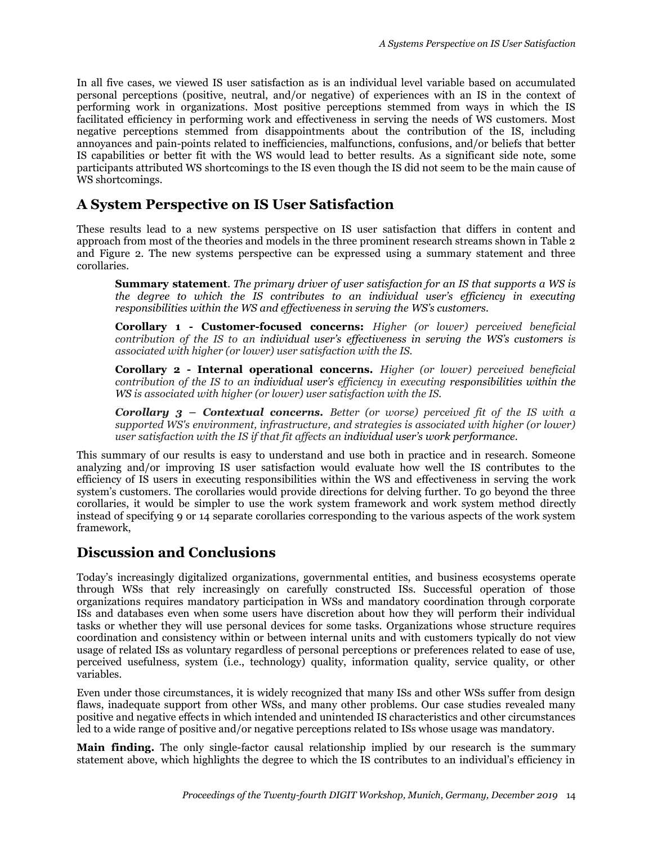In all five cases, we viewed IS user satisfaction as is an individual level variable based on accumulated personal perceptions (positive, neutral, and/or negative) of experiences with an IS in the context of performing work in organizations. Most positive perceptions stemmed from ways in which the IS facilitated efficiency in performing work and effectiveness in serving the needs of WS customers. Most negative perceptions stemmed from disappointments about the contribution of the IS, including annoyances and pain-points related to inefficiencies, malfunctions, confusions, and/or beliefs that better IS capabilities or better fit with the WS would lead to better results. As a significant side note, some participants attributed WS shortcomings to the IS even though the IS did not seem to be the main cause of WS shortcomings.

### **A System Perspective on IS User Satisfaction**

These results lead to a new systems perspective on IS user satisfaction that differs in content and approach from most of the theories and models in the three prominent research streams shown in Table 2 and Figure 2. The new systems perspective can be expressed using a summary statement and three corollaries.

**Summary statement**. *The primary driver of user satisfaction for an IS that supports a WS is the degree to which the IS contributes to an individual user's efficiency in executing responsibilities within the WS and effectiveness in serving the WS's customers.*

**Corollary 1 - Customer-focused concerns:** *Higher (or lower) perceived beneficial contribution of the IS to an individual user's effectiveness in serving the WS's customers is associated with higher (or lower) user satisfaction with the IS.*

**Corollary 2 - Internal operational concerns***. Higher (or lower) perceived beneficial contribution of the IS to an individual user's efficiency in executing responsibilities within the WS is associated with higher (or lower) user satisfaction with the IS.*

*Corollary 3 – Contextual concerns. Better (or worse) perceived fit of the IS with a supported WS's environment, infrastructure, and strategies is associated with higher (or lower) user satisfaction with the IS if that fit affects an individual user's work performance.*

This summary of our results is easy to understand and use both in practice and in research. Someone analyzing and/or improving IS user satisfaction would evaluate how well the IS contributes to the efficiency of IS users in executing responsibilities within the WS and effectiveness in serving the work system's customers. The corollaries would provide directions for delving further. To go beyond the three corollaries, it would be simpler to use the work system framework and work system method directly instead of specifying 9 or 14 separate corollaries corresponding to the various aspects of the work system framework,

## **Discussion and Conclusions**

Today's increasingly digitalized organizations, governmental entities, and business ecosystems operate through WSs that rely increasingly on carefully constructed ISs. Successful operation of those organizations requires mandatory participation in WSs and mandatory coordination through corporate ISs and databases even when some users have discretion about how they will perform their individual tasks or whether they will use personal devices for some tasks. Organizations whose structure requires coordination and consistency within or between internal units and with customers typically do not view usage of related ISs as voluntary regardless of personal perceptions or preferences related to ease of use, perceived usefulness, system (i.e., technology) quality, information quality, service quality, or other variables.

Even under those circumstances, it is widely recognized that many ISs and other WSs suffer from design flaws, inadequate support from other WSs, and many other problems. Our case studies revealed many positive and negative effects in which intended and unintended IS characteristics and other circumstances led to a wide range of positive and/or negative perceptions related to ISs whose usage was mandatory.

**Main finding.** The only single-factor causal relationship implied by our research is the summary statement above, which highlights the degree to which the IS contributes to an individual's efficiency in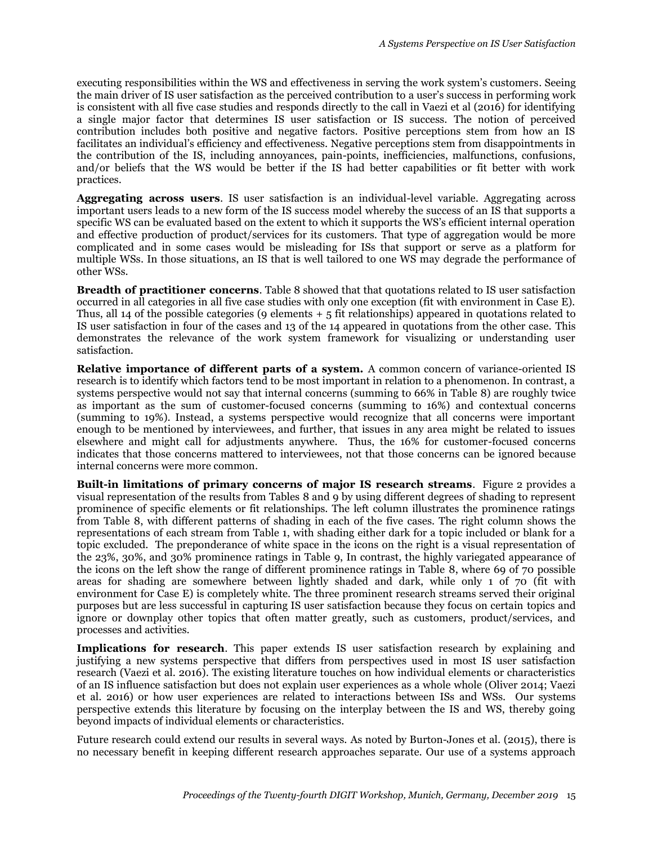executing responsibilities within the WS and effectiveness in serving the work system's customers. Seeing the main driver of IS user satisfaction as the perceived contribution to a user's success in performing work is consistent with all five case studies and responds directly to the call in Vaezi et al (2016) for identifying a single major factor that determines IS user satisfaction or IS success. The notion of perceived contribution includes both positive and negative factors. Positive perceptions stem from how an IS facilitates an individual's efficiency and effectiveness. Negative perceptions stem from disappointments in the contribution of the IS, including annoyances, pain-points, inefficiencies, malfunctions, confusions, and/or beliefs that the WS would be better if the IS had better capabilities or fit better with work practices.

**Aggregating across users**. IS user satisfaction is an individual-level variable. Aggregating across important users leads to a new form of the IS success model whereby the success of an IS that supports a specific WS can be evaluated based on the extent to which it supports the WS's efficient internal operation and effective production of product/services for its customers. That type of aggregation would be more complicated and in some cases would be misleading for ISs that support or serve as a platform for multiple WSs. In those situations, an IS that is well tailored to one WS may degrade the performance of other WSs.

**Breadth of practitioner concerns**. Table 8 showed that that quotations related to IS user satisfaction occurred in all categories in all five case studies with only one exception (fit with environment in Case E). Thus, all 14 of the possible categories (9 elements + 5 fit relationships) appeared in quotations related to IS user satisfaction in four of the cases and 13 of the 14 appeared in quotations from the other case. This demonstrates the relevance of the work system framework for visualizing or understanding user satisfaction.

**Relative importance of different parts of a system.** A common concern of variance-oriented IS research is to identify which factors tend to be most important in relation to a phenomenon. In contrast, a systems perspective would not say that internal concerns (summing to 66% in Table 8) are roughly twice as important as the sum of customer-focused concerns (summing to 16%) and contextual concerns (summing to 19%). Instead, a systems perspective would recognize that all concerns were important enough to be mentioned by interviewees, and further, that issues in any area might be related to issues elsewhere and might call for adjustments anywhere. Thus, the 16% for customer-focused concerns indicates that those concerns mattered to interviewees, not that those concerns can be ignored because internal concerns were more common.

**Built-in limitations of primary concerns of major IS research streams**. Figure 2 provides a visual representation of the results from Tables 8 and 9 by using different degrees of shading to represent prominence of specific elements or fit relationships. The left column illustrates the prominence ratings from Table 8, with different patterns of shading in each of the five cases. The right column shows the representations of each stream from Table 1, with shading either dark for a topic included or blank for a topic excluded. The preponderance of white space in the icons on the right is a visual representation of the 23%, 30%, and 30% prominence ratings in Table 9, In contrast, the highly variegated appearance of the icons on the left show the range of different prominence ratings in Table 8, where 69 of 70 possible areas for shading are somewhere between lightly shaded and dark, while only 1 of 70 (fit with environment for Case E) is completely white. The three prominent research streams served their original purposes but are less successful in capturing IS user satisfaction because they focus on certain topics and ignore or downplay other topics that often matter greatly, such as customers, product/services, and processes and activities.

**Implications for research**. This paper extends IS user satisfaction research by explaining and justifying a new systems perspective that differs from perspectives used in most IS user satisfaction research (Vaezi et al. 2016). The existing literature touches on how individual elements or characteristics of an IS influence satisfaction but does not explain user experiences as a whole whole (Oliver 2014; Vaezi et al. 2016) or how user experiences are related to interactions between ISs and WSs. Our systems perspective extends this literature by focusing on the interplay between the IS and WS, thereby going beyond impacts of individual elements or characteristics.

Future research could extend our results in several ways. As noted by Burton-Jones et al. (2015), there is no necessary benefit in keeping different research approaches separate. Our use of a systems approach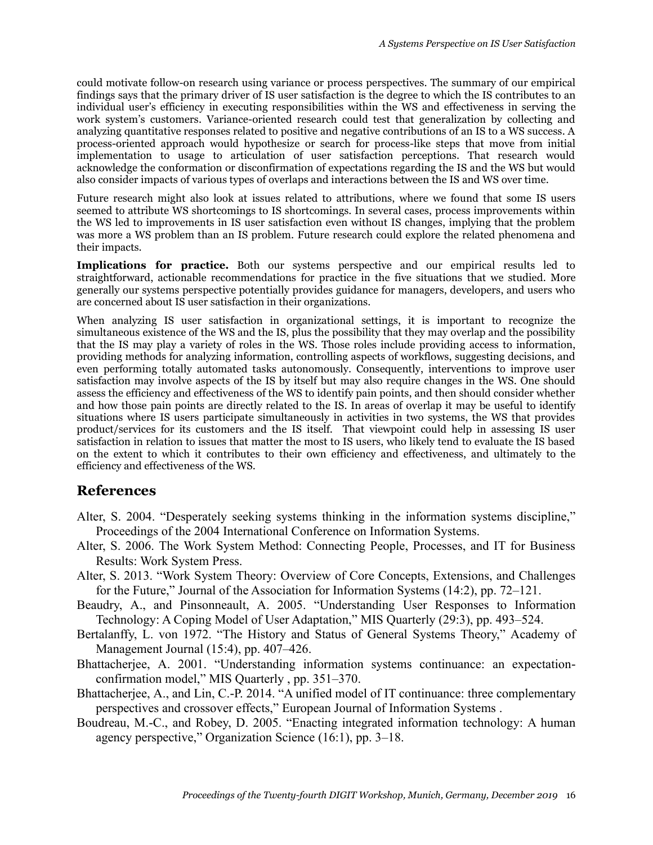could motivate follow-on research using variance or process perspectives. The summary of our empirical findings says that the primary driver of IS user satisfaction is the degree to which the IS contributes to an individual user's efficiency in executing responsibilities within the WS and effectiveness in serving the work system's customers. Variance-oriented research could test that generalization by collecting and analyzing quantitative responses related to positive and negative contributions of an IS to a WS success. A process-oriented approach would hypothesize or search for process-like steps that move from initial implementation to usage to articulation of user satisfaction perceptions. That research would acknowledge the conformation or disconfirmation of expectations regarding the IS and the WS but would also consider impacts of various types of overlaps and interactions between the IS and WS over time.

Future research might also look at issues related to attributions, where we found that some IS users seemed to attribute WS shortcomings to IS shortcomings. In several cases, process improvements within the WS led to improvements in IS user satisfaction even without IS changes, implying that the problem was more a WS problem than an IS problem. Future research could explore the related phenomena and their impacts.

**Implications for practice.** Both our systems perspective and our empirical results led to straightforward, actionable recommendations for practice in the five situations that we studied. More generally our systems perspective potentially provides guidance for managers, developers, and users who are concerned about IS user satisfaction in their organizations.

When analyzing IS user satisfaction in organizational settings, it is important to recognize the simultaneous existence of the WS and the IS, plus the possibility that they may overlap and the possibility that the IS may play a variety of roles in the WS. Those roles include providing access to information, providing methods for analyzing information, controlling aspects of workflows, suggesting decisions, and even performing totally automated tasks autonomously. Consequently, interventions to improve user satisfaction may involve aspects of the IS by itself but may also require changes in the WS. One should assess the efficiency and effectiveness of the WS to identify pain points, and then should consider whether and how those pain points are directly related to the IS. In areas of overlap it may be useful to identify situations where IS users participate simultaneously in activities in two systems, the WS that provides product/services for its customers and the IS itself. That viewpoint could help in assessing IS user satisfaction in relation to issues that matter the most to IS users, who likely tend to evaluate the IS based on the extent to which it contributes to their own efficiency and effectiveness, and ultimately to the efficiency and effectiveness of the WS.

### **References**

- Alter, S. 2004. "Desperately seeking systems thinking in the information systems discipline," Proceedings of the 2004 International Conference on Information Systems.
- Alter, S. 2006. The Work System Method: Connecting People, Processes, and IT for Business Results: Work System Press.
- Alter, S. 2013. "Work System Theory: Overview of Core Concepts, Extensions, and Challenges for the Future," Journal of the Association for Information Systems (14:2), pp. 72–121.
- Beaudry, A., and Pinsonneault, A. 2005. "Understanding User Responses to Information Technology: A Coping Model of User Adaptation," MIS Quarterly (29:3), pp. 493–524.
- Bertalanffy, L. von 1972. "The History and Status of General Systems Theory," Academy of Management Journal (15:4), pp. 407–426.
- Bhattacherjee, A. 2001. "Understanding information systems continuance: an expectationconfirmation model," MIS Quarterly , pp. 351–370.
- Bhattacherjee, A., and Lin, C.-P. 2014. "A unified model of IT continuance: three complementary perspectives and crossover effects," European Journal of Information Systems .
- Boudreau, M.-C., and Robey, D. 2005. "Enacting integrated information technology: A human agency perspective," Organization Science (16:1), pp. 3–18.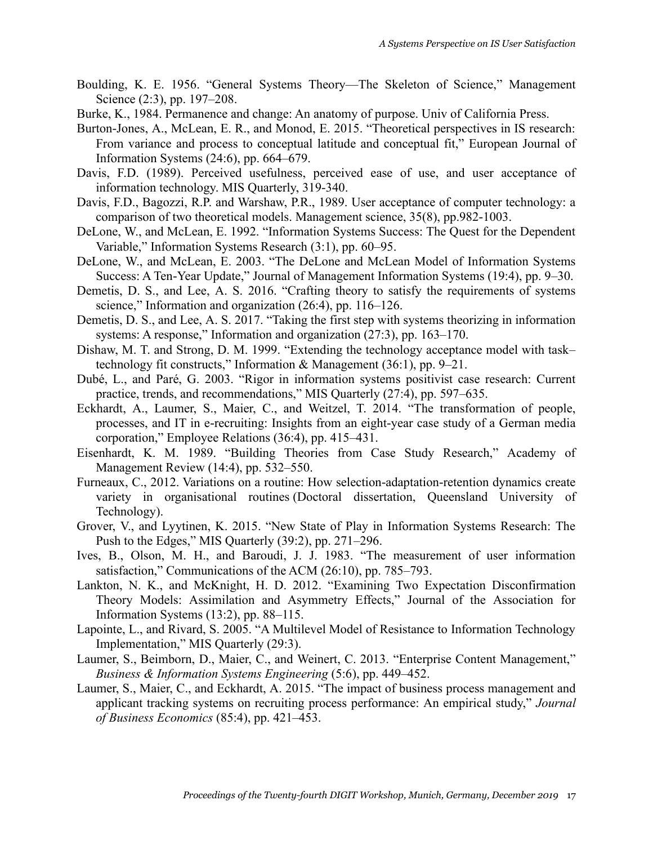- Boulding, K. E. 1956. "General Systems Theory—The Skeleton of Science," Management Science (2:3), pp. 197–208.
- Burke, K., 1984. Permanence and change: An anatomy of purpose. Univ of California Press.
- Burton-Jones, A., McLean, E. R., and Monod, E. 2015. "Theoretical perspectives in IS research: From variance and process to conceptual latitude and conceptual fit," European Journal of Information Systems (24:6), pp. 664–679.
- Davis, F.D. (1989). Perceived usefulness, perceived ease of use, and user acceptance of information technology. MIS Quarterly, 319-340.
- Davis, F.D., Bagozzi, R.P. and Warshaw, P.R., 1989. User acceptance of computer technology: a comparison of two theoretical models. Management science, 35(8), pp.982-1003.
- DeLone, W., and McLean, E. 1992. "Information Systems Success: The Quest for the Dependent Variable," Information Systems Research (3:1), pp. 60–95.
- DeLone, W., and McLean, E. 2003. "The DeLone and McLean Model of Information Systems Success: A Ten-Year Update," Journal of Management Information Systems (19:4), pp. 9–30.
- Demetis, D. S., and Lee, A. S. 2016. "Crafting theory to satisfy the requirements of systems science," Information and organization (26:4), pp. 116–126.
- Demetis, D. S., and Lee, A. S. 2017. "Taking the first step with systems theorizing in information systems: A response," Information and organization (27:3), pp. 163–170.
- Dishaw, M. T. and Strong, D. M. 1999. "Extending the technology acceptance model with task– technology fit constructs," Information & Management  $(36:1)$ , pp. 9–21.
- Dubé, L., and Paré, G. 2003. "Rigor in information systems positivist case research: Current practice, trends, and recommendations," MIS Quarterly (27:4), pp. 597–635.
- Eckhardt, A., Laumer, S., Maier, C., and Weitzel, T. 2014. "The transformation of people, processes, and IT in e-recruiting: Insights from an eight-year case study of a German media corporation," Employee Relations (36:4), pp. 415–431.
- Eisenhardt, K. M. 1989. "Building Theories from Case Study Research," Academy of Management Review (14:4), pp. 532–550.
- Furneaux, C., 2012. Variations on a routine: How selection-adaptation-retention dynamics create variety in organisational routines (Doctoral dissertation, Queensland University of Technology).
- Grover, V., and Lyytinen, K. 2015. "New State of Play in Information Systems Research: The Push to the Edges," MIS Quarterly (39:2), pp. 271–296.
- Ives, B., Olson, M. H., and Baroudi, J. J. 1983. "The measurement of user information satisfaction," Communications of the ACM (26:10), pp. 785–793.
- Lankton, N. K., and McKnight, H. D. 2012. "Examining Two Expectation Disconfirmation Theory Models: Assimilation and Asymmetry Effects," Journal of the Association for Information Systems (13:2), pp. 88–115.
- Lapointe, L., and Rivard, S. 2005. "A Multilevel Model of Resistance to Information Technology Implementation," MIS Quarterly (29:3).
- Laumer, S., Beimborn, D., Maier, C., and Weinert, C. 2013. "Enterprise Content Management," *Business & Information Systems Engineering* (5:6), pp. 449–452.
- Laumer, S., Maier, C., and Eckhardt, A. 2015. "The impact of business process management and applicant tracking systems on recruiting process performance: An empirical study," *Journal of Business Economics* (85:4), pp. 421–453.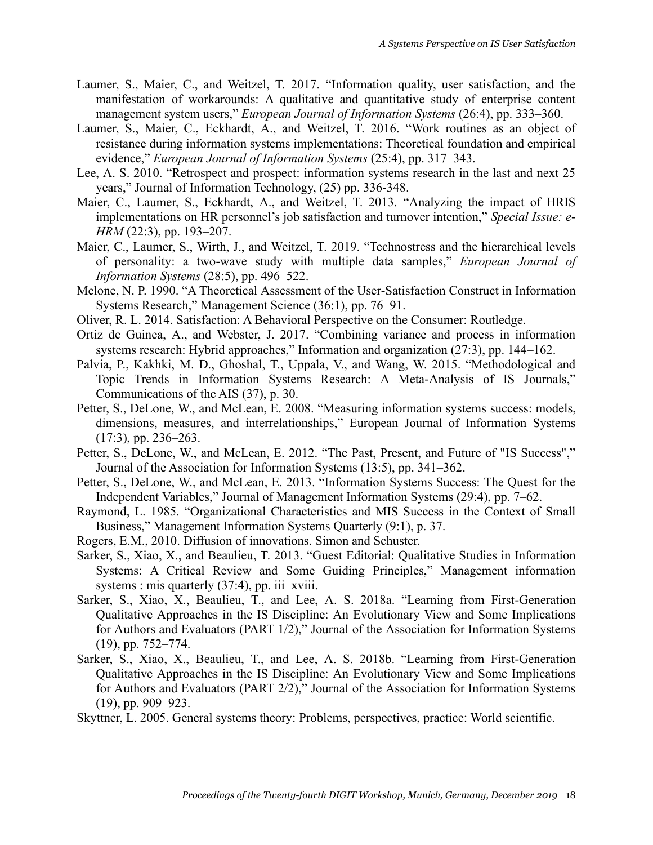- Laumer, S., Maier, C., and Weitzel, T. 2017. "Information quality, user satisfaction, and the manifestation of workarounds: A qualitative and quantitative study of enterprise content management system users," *European Journal of Information Systems* (26:4), pp. 333–360.
- Laumer, S., Maier, C., Eckhardt, A., and Weitzel, T. 2016. "Work routines as an object of resistance during information systems implementations: Theoretical foundation and empirical evidence," *European Journal of Information Systems* (25:4), pp. 317–343.
- Lee, A. S. 2010. "Retrospect and prospect: information systems research in the last and next 25 years," Journal of Information Technology, (25) pp. 336-348.
- Maier, C., Laumer, S., Eckhardt, A., and Weitzel, T. 2013. "Analyzing the impact of HRIS implementations on HR personnel's job satisfaction and turnover intention," *Special Issue: e-HRM* (22:3), pp. 193–207.
- Maier, C., Laumer, S., Wirth, J., and Weitzel, T. 2019. "Technostress and the hierarchical levels of personality: a two-wave study with multiple data samples," *European Journal of Information Systems* (28:5), pp. 496–522.
- Melone, N. P. 1990. "A Theoretical Assessment of the User-Satisfaction Construct in Information Systems Research," Management Science (36:1), pp. 76–91.
- Oliver, R. L. 2014. Satisfaction: A Behavioral Perspective on the Consumer: Routledge.
- Ortiz de Guinea, A., and Webster, J. 2017. "Combining variance and process in information systems research: Hybrid approaches," Information and organization (27:3), pp. 144–162.
- Palvia, P., Kakhki, M. D., Ghoshal, T., Uppala, V., and Wang, W. 2015. "Methodological and Topic Trends in Information Systems Research: A Meta-Analysis of IS Journals," Communications of the AIS (37), p. 30.
- Petter, S., DeLone, W., and McLean, E. 2008. "Measuring information systems success: models, dimensions, measures, and interrelationships," European Journal of Information Systems (17:3), pp. 236–263.
- Petter, S., DeLone, W., and McLean, E. 2012. "The Past, Present, and Future of "IS Success"," Journal of the Association for Information Systems (13:5), pp. 341–362.
- Petter, S., DeLone, W., and McLean, E. 2013. "Information Systems Success: The Quest for the Independent Variables," Journal of Management Information Systems (29:4), pp. 7–62.
- Raymond, L. 1985. "Organizational Characteristics and MIS Success in the Context of Small Business," Management Information Systems Quarterly (9:1), p. 37.
- Rogers, E.M., 2010. Diffusion of innovations. Simon and Schuster.
- Sarker, S., Xiao, X., and Beaulieu, T. 2013. "Guest Editorial: Qualitative Studies in Information Systems: A Critical Review and Some Guiding Principles," Management information systems : mis quarterly (37:4), pp. iii–xviii.
- Sarker, S., Xiao, X., Beaulieu, T., and Lee, A. S. 2018a. "Learning from First-Generation Qualitative Approaches in the IS Discipline: An Evolutionary View and Some Implications for Authors and Evaluators (PART 1/2)," Journal of the Association for Information Systems (19), pp. 752–774.
- Sarker, S., Xiao, X., Beaulieu, T., and Lee, A. S. 2018b. "Learning from First-Generation Qualitative Approaches in the IS Discipline: An Evolutionary View and Some Implications for Authors and Evaluators (PART 2/2)," Journal of the Association for Information Systems (19), pp. 909–923.
- Skyttner, L. 2005. General systems theory: Problems, perspectives, practice: World scientific.